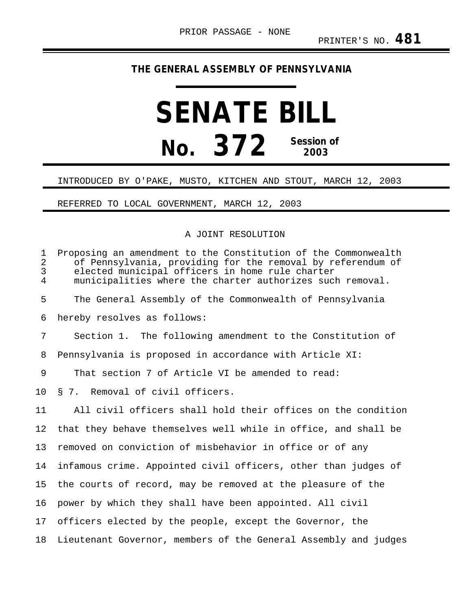## **THE GENERAL ASSEMBLY OF PENNSYLVANIA**

# **SENATE BILL No. 372 Session of 2003**

#### INTRODUCED BY O'PAKE, MUSTO, KITCHEN AND STOUT, MARCH 12, 2003

### REFERRED TO LOCAL GOVERNMENT, MARCH 12, 2003

#### A JOINT RESOLUTION

| $\mathbf{1}$<br>$\overline{2}$<br>3<br>$\overline{4}$ | Proposing an amendment to the Constitution of the Commonwealth<br>of Pennsylvania, providing for the removal by referendum of<br>elected municipal officers in home rule charter<br>municipalities where the charter authorizes such removal. |
|-------------------------------------------------------|-----------------------------------------------------------------------------------------------------------------------------------------------------------------------------------------------------------------------------------------------|
| 5                                                     | The General Assembly of the Commonwealth of Pennsylvania                                                                                                                                                                                      |
| 6                                                     | hereby resolves as follows:                                                                                                                                                                                                                   |
| 7                                                     | Section 1. The following amendment to the Constitution of                                                                                                                                                                                     |
| 8                                                     | Pennsylvania is proposed in accordance with Article XI:                                                                                                                                                                                       |
| 9                                                     | That section 7 of Article VI be amended to read:                                                                                                                                                                                              |
| 10                                                    | § 7. Removal of civil officers.                                                                                                                                                                                                               |
| 11                                                    | All civil officers shall hold their offices on the condition                                                                                                                                                                                  |
| 12                                                    | that they behave themselves well while in office, and shall be                                                                                                                                                                                |
| 13                                                    | removed on conviction of misbehavior in office or of any                                                                                                                                                                                      |
| 14                                                    | infamous crime. Appointed civil officers, other than judges of                                                                                                                                                                                |
| 15                                                    | the courts of record, may be removed at the pleasure of the                                                                                                                                                                                   |
| 16                                                    | power by which they shall have been appointed. All civil                                                                                                                                                                                      |
| 17                                                    | officers elected by the people, except the Governor, the                                                                                                                                                                                      |
| 18                                                    | Lieutenant Governor, members of the General Assembly and judges                                                                                                                                                                               |